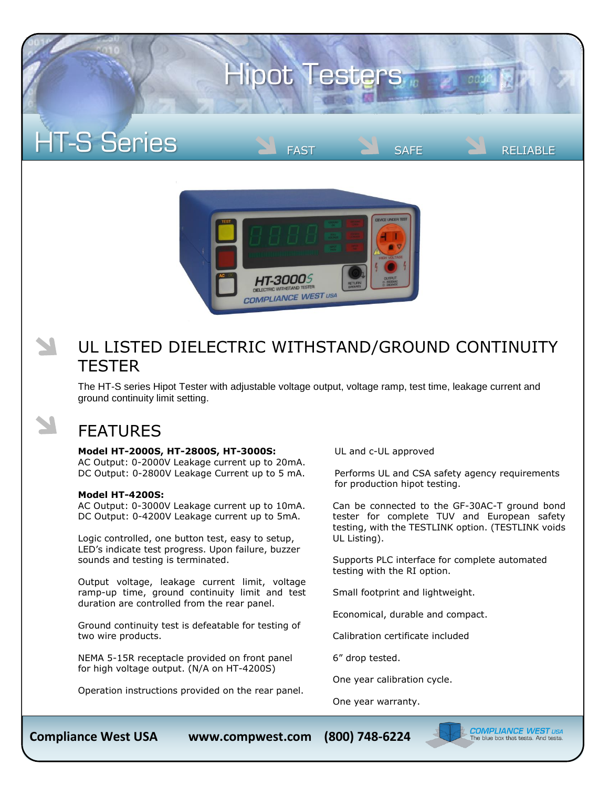# **Hipot Testers**





## UL LISTED DIELECTRIC WITHSTAND/GROUND CONTINUITY **TESTER**

The HT-S series Hipot Tester with adjustable voltage output, voltage ramp, test time, leakage current and ground continuity limit setting.

## FEATURES

### **Model HT-2000S, HT-2800S, HT-3000S:**

AC Output: 0-2000V Leakage current up to 20mA. DC Output: 0-2800V Leakage Current up to 5 mA.

#### **Model HT-4200S:**

AC Output: 0-3000V Leakage current up to 10mA. DC Output: 0-4200V Leakage current up to 5mA.

Logic controlled, one button test, easy to setup, LED's indicate test progress. Upon failure, buzzer sounds and testing is terminated.

Output voltage, leakage current limit, voltage ramp-up time, ground continuity limit and test duration are controlled from the rear panel.

Ground continuity test is defeatable for testing of two wire products.

NEMA 5-15R receptacle provided on front panel for high voltage output. (N/A on HT-4200S)

Operation instructions provided on the rear panel.

UL and c-UL approved

Performs UL and CSA safety agency requirements for production hipot testing.

FAST SAFE RELIABLE

Can be connected to the GF-30AC-T ground bond tester for complete TUV and European safety testing, with the TESTLINK option. (TESTLINK voids UL Listing).

Supports PLC interface for complete automated testing with the RI option.

Small footprint and lightweight.

Economical, durable and compact.

Calibration certificate included

6" drop tested.

One year calibration cycle.

One year warranty.



**COMPLIANCE WEST** USA<br>The blue box that tests. And tests.

**Compliance West USA www.compwest.com (800) 748-6224**

(800) 748-6224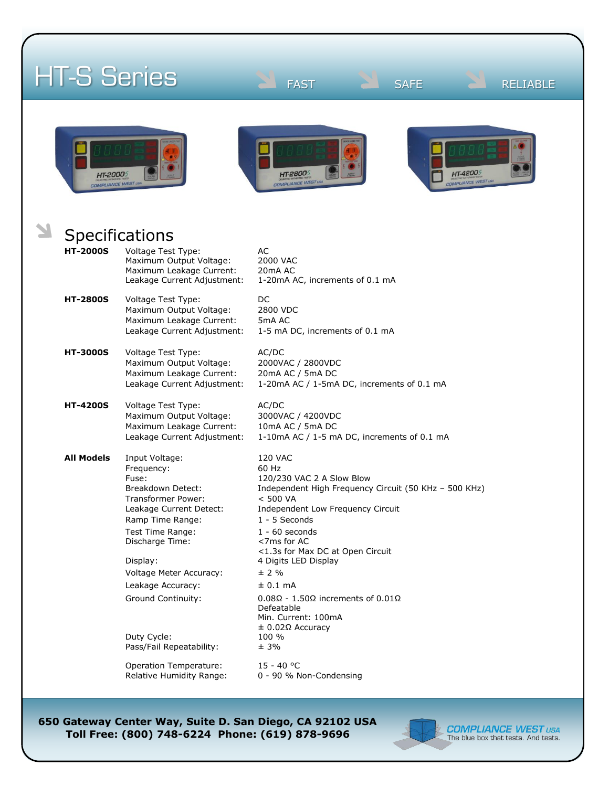|                                                | <b>HT-S Series</b>                                                                                                                                                                                                                                                                                         | <b>FAST</b><br><b>SAFE</b><br><b>RELIABLE</b>                                                                                                                                                                                                                                                                                                                                                                                             |
|------------------------------------------------|------------------------------------------------------------------------------------------------------------------------------------------------------------------------------------------------------------------------------------------------------------------------------------------------------------|-------------------------------------------------------------------------------------------------------------------------------------------------------------------------------------------------------------------------------------------------------------------------------------------------------------------------------------------------------------------------------------------------------------------------------------------|
| <b>HT-2000</b> 5<br><b>COMPLIANCE WEST USI</b> |                                                                                                                                                                                                                                                                                                            | HT-42005<br>HT-28005<br><b>COMPLIANCE WEST US</b><br><b>COMPLIANCE WEST USA</b>                                                                                                                                                                                                                                                                                                                                                           |
|                                                | <b>Specifications</b>                                                                                                                                                                                                                                                                                      |                                                                                                                                                                                                                                                                                                                                                                                                                                           |
|                                                |                                                                                                                                                                                                                                                                                                            |                                                                                                                                                                                                                                                                                                                                                                                                                                           |
| <b>HT-2000S</b>                                | Voltage Test Type:<br>Maximum Output Voltage:<br>Maximum Leakage Current:<br>Leakage Current Adjustment:                                                                                                                                                                                                   | <b>AC</b><br>2000 VAC<br>20mA AC<br>1-20mA AC, increments of 0.1 mA                                                                                                                                                                                                                                                                                                                                                                       |
| <b>HT-2800S</b>                                | Voltage Test Type:<br>Maximum Output Voltage:<br>Maximum Leakage Current:<br>Leakage Current Adjustment:                                                                                                                                                                                                   | DC<br>2800 VDC<br>5mA AC<br>1-5 mA DC, increments of 0.1 mA                                                                                                                                                                                                                                                                                                                                                                               |
| <b>HT-3000S</b>                                | Voltage Test Type:<br>Maximum Output Voltage:<br>Maximum Leakage Current:<br>Leakage Current Adjustment:                                                                                                                                                                                                   | AC/DC<br>2000VAC / 2800VDC<br>20mA AC / 5mA DC<br>1-20mA AC / 1-5mA DC, increments of 0.1 mA                                                                                                                                                                                                                                                                                                                                              |
| <b>HT-4200S</b>                                | Voltage Test Type:<br>Maximum Output Voltage:<br>Maximum Leakage Current:<br>Leakage Current Adjustment:                                                                                                                                                                                                   | AC/DC<br>3000VAC / 4200VDC<br>10mA AC / 5mA DC<br>1-10mA AC / 1-5 mA DC, increments of 0.1 mA                                                                                                                                                                                                                                                                                                                                             |
| <b>All Models</b>                              | Input Voltage:<br>Frequency:<br>Fuse:<br>Breakdown Detect:<br>Transformer Power:<br>Leakage Current Detect:<br>Ramp Time Range:<br>Test Time Range:<br>Discharge Time:<br>Display:<br>Voltage Meter Accuracy:<br>Leakage Accuracy:<br><b>Ground Continuity:</b><br>Duty Cycle:<br>Pass/Fail Repeatability: | <b>120 VAC</b><br>60 Hz<br>120/230 VAC 2 A Slow Blow<br>Independent High Frequency Circuit (50 KHz - 500 KHz)<br>< 500 VA<br>Independent Low Frequency Circuit<br>1 - 5 Seconds<br>$1 - 60$ seconds<br><7ms for AC<br><1.3s for Max DC at Open Circuit<br>4 Digits LED Display<br>± 2%<br>$± 0.1$ mA<br>$0.08\Omega$ - 1.50 $\Omega$ increments of $0.01\Omega$<br>Defeatable<br>Min. Current: 100mA<br>± 0.02Ω Accuracy<br>100 %<br>± 3% |
|                                                | <b>Operation Temperature:</b><br>Relative Humidity Range:                                                                                                                                                                                                                                                  | $15 - 40 °C$<br>0 - 90 % Non-Condensing                                                                                                                                                                                                                                                                                                                                                                                                   |

**650 Gateway Center Way, Suite D. San Diego, CA 92102 USA Toll Free: (800) 748-6224 Phone: (619) 878-9696**